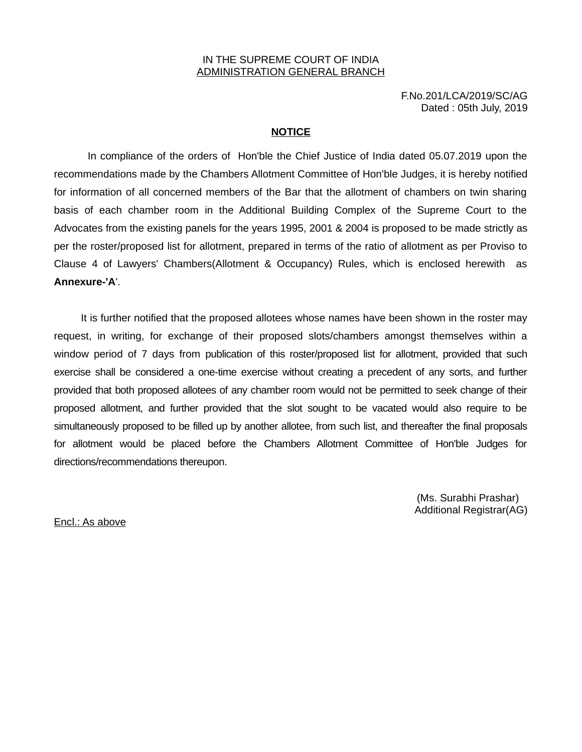#### IN THE SUPREME COURT OF INDIA ADMINISTRATION GENERAL BRANCH

F.No.201/LCA/2019/SC/AG Dated : 05th July, 2019

#### **NOTICE**

In compliance of the orders of Hon'ble the Chief Justice of India dated 05.07.2019 upon the recommendations made by the Chambers Allotment Committee of Hon'ble Judges, it is hereby notified for information of all concerned members of the Bar that the allotment of chambers on twin sharing basis of each chamber room in the Additional Building Complex of the Supreme Court to the Advocates from the existing panels for the years 1995, 2001 & 2004 is proposed to be made strictly as per the roster/proposed list for allotment, prepared in terms of the ratio of allotment as per Proviso to Clause 4 of Lawyers' Chambers(Allotment & Occupancy) Rules, which is enclosed herewith as **Annexure-'A**'.

It is further notified that the proposed allotees whose names have been shown in the roster may request, in writing, for exchange of their proposed slots/chambers amongst themselves within a window period of 7 days from publication of this roster/proposed list for allotment, provided that such exercise shall be considered a one-time exercise without creating a precedent of any sorts, and further provided that both proposed allotees of any chamber room would not be permitted to seek change of their proposed allotment, and further provided that the slot sought to be vacated would also require to be simultaneously proposed to be filled up by another allotee, from such list, and thereafter the final proposals for allotment would be placed before the Chambers Allotment Committee of Hon'ble Judges for directions/recommendations thereupon.

> (Ms. Surabhi Prashar) Additional Registrar(AG)

Encl.: As above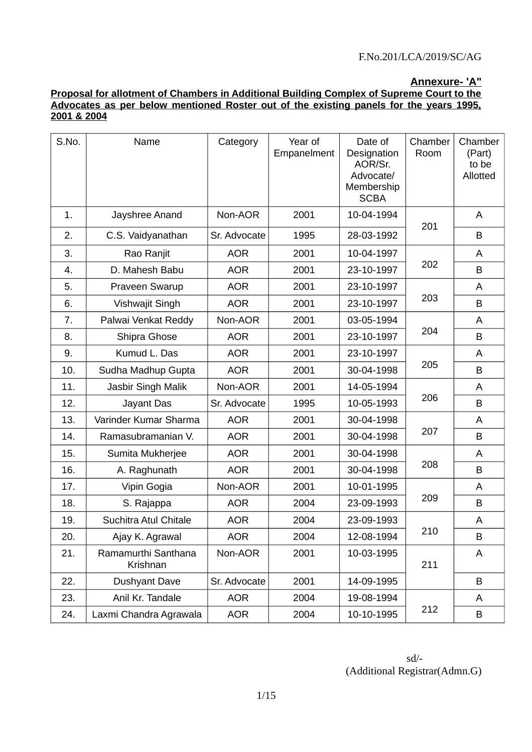## **Annexure- 'A"**

### **Proposal for allotment of Chambers in Additional Building Complex of Supreme Court to the Advocates as per below mentioned Roster out of the existing panels for the years 1995, 2001 & 2004**

| S.No. | Name                            | Category     | Year of<br>Empanelment | Date of<br>Designation<br>AOR/Sr.<br>Advocate/<br>Membership<br><b>SCBA</b> | Chamber<br>Room | Chamber<br>(Part)<br>to be<br>Allotted |
|-------|---------------------------------|--------------|------------------------|-----------------------------------------------------------------------------|-----------------|----------------------------------------|
| 1.    | Jayshree Anand                  | Non-AOR      | 2001                   | 10-04-1994                                                                  | 201             | A                                      |
| 2.    | C.S. Vaidyanathan               | Sr. Advocate | 1995                   | 28-03-1992                                                                  |                 | B                                      |
| 3.    | Rao Ranjit                      | <b>AOR</b>   | 2001                   | 10-04-1997                                                                  |                 | A                                      |
| 4.    | D. Mahesh Babu                  | <b>AOR</b>   | 2001                   | 23-10-1997                                                                  | 202             | B                                      |
| 5.    | Praveen Swarup                  | <b>AOR</b>   | 2001                   | 23-10-1997                                                                  |                 | A                                      |
| 6.    | Vishwajit Singh                 | <b>AOR</b>   | 2001                   | 23-10-1997                                                                  | 203             | B                                      |
| 7.    | Palwai Venkat Reddy             | Non-AOR      | 2001                   | 03-05-1994                                                                  |                 | A                                      |
| 8.    | Shipra Ghose                    | <b>AOR</b>   | 2001                   | 23-10-1997                                                                  | 204             | B                                      |
| 9.    | Kumud L. Das                    | <b>AOR</b>   | 2001                   | 23-10-1997                                                                  |                 | A                                      |
| 10.   | Sudha Madhup Gupta              | <b>AOR</b>   | 2001                   | 30-04-1998                                                                  | 205             | B                                      |
| 11.   | Jasbir Singh Malik              | Non-AOR      | 2001                   | 14-05-1994                                                                  |                 | A                                      |
| 12.   | Jayant Das                      | Sr. Advocate | 1995                   | 10-05-1993                                                                  | 206             | B                                      |
| 13.   | Varinder Kumar Sharma           | <b>AOR</b>   | 2001                   | 30-04-1998                                                                  |                 | A                                      |
| 14.   | Ramasubramanian V.              | <b>AOR</b>   | 2001                   | 30-04-1998                                                                  | 207             | B                                      |
| 15.   | Sumita Mukherjee                | <b>AOR</b>   | 2001                   | 30-04-1998                                                                  |                 | A                                      |
| 16.   | A. Raghunath                    | <b>AOR</b>   | 2001                   | 30-04-1998                                                                  | 208             | B                                      |
| 17.   | Vipin Gogia                     | Non-AOR      | 2001                   | 10-01-1995                                                                  |                 | A                                      |
| 18.   | S. Rajappa                      | <b>AOR</b>   | 2004                   | 23-09-1993                                                                  | 209             | B                                      |
| 19.   | Suchitra Atul Chitale           | <b>AOR</b>   | 2004                   | 23-09-1993                                                                  |                 | A                                      |
| 20.   | Ajay K. Agrawal                 | <b>AOR</b>   | 2004                   | 12-08-1994                                                                  | 210             | B                                      |
| 21.   | Ramamurthi Santhana<br>Krishnan | Non-AOR      | 2001                   | 10-03-1995                                                                  | 211             | A                                      |
| 22.   | <b>Dushyant Dave</b>            | Sr. Advocate | 2001                   | 14-09-1995                                                                  |                 | B                                      |
| 23.   | Anil Kr. Tandale                | <b>AOR</b>   | 2004                   | 19-08-1994                                                                  |                 | A                                      |
| 24.   | Laxmi Chandra Agrawala          | <b>AOR</b>   | 2004                   | 10-10-1995                                                                  | 212             | В                                      |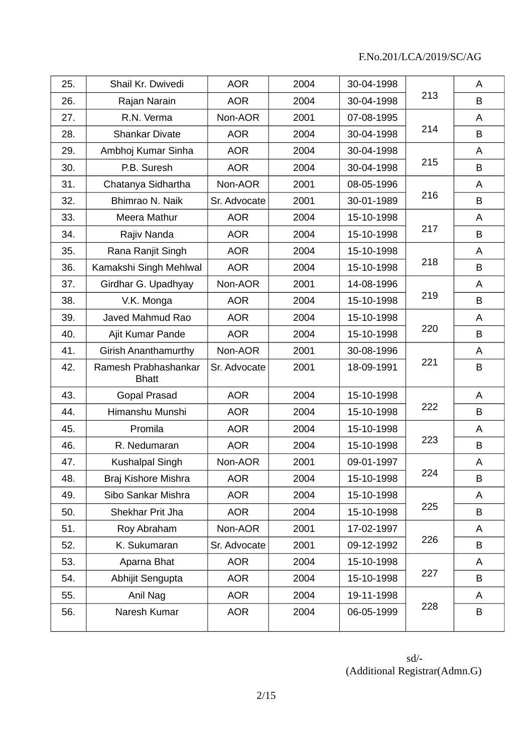| 25. | Shail Kr. Dwivedi                    | <b>AOR</b>   | 2004 | 30-04-1998 |     | A |
|-----|--------------------------------------|--------------|------|------------|-----|---|
| 26. | Rajan Narain                         | <b>AOR</b>   | 2004 | 30-04-1998 | 213 | B |
| 27. | R.N. Verma                           | Non-AOR      | 2001 | 07-08-1995 |     | A |
| 28. | <b>Shankar Divate</b>                | <b>AOR</b>   | 2004 | 30-04-1998 | 214 | B |
| 29. | Ambhoj Kumar Sinha                   | <b>AOR</b>   | 2004 | 30-04-1998 |     | A |
| 30. | P.B. Suresh                          | <b>AOR</b>   | 2004 | 30-04-1998 | 215 | B |
| 31. | Chatanya Sidhartha                   | Non-AOR      | 2001 | 08-05-1996 |     | A |
| 32. | Bhimrao N. Naik                      | Sr. Advocate | 2001 | 30-01-1989 | 216 | B |
| 33. | Meera Mathur                         | <b>AOR</b>   | 2004 | 15-10-1998 |     | A |
| 34. | Rajiv Nanda                          | <b>AOR</b>   | 2004 | 15-10-1998 | 217 | B |
| 35. | Rana Ranjit Singh                    | <b>AOR</b>   | 2004 | 15-10-1998 |     | A |
| 36. | Kamakshi Singh Mehlwal               | <b>AOR</b>   | 2004 | 15-10-1998 | 218 | B |
| 37. | Girdhar G. Upadhyay                  | Non-AOR      | 2001 | 14-08-1996 |     | A |
| 38. | V.K. Monga                           | <b>AOR</b>   | 2004 | 15-10-1998 | 219 | B |
| 39. | Javed Mahmud Rao                     | <b>AOR</b>   | 2004 | 15-10-1998 |     | A |
| 40. | Ajit Kumar Pande                     | <b>AOR</b>   | 2004 | 15-10-1998 | 220 | B |
| 41. | <b>Girish Ananthamurthy</b>          | Non-AOR      | 2001 | 30-08-1996 |     | A |
| 42. | Ramesh Prabhashankar<br><b>Bhatt</b> | Sr. Advocate | 2001 | 18-09-1991 | 221 | B |
| 43. | <b>Gopal Prasad</b>                  | <b>AOR</b>   | 2004 | 15-10-1998 |     | A |
| 44. | Himanshu Munshi                      | <b>AOR</b>   | 2004 | 15-10-1998 | 222 | B |
| 45. | Promila                              | <b>AOR</b>   | 2004 | 15-10-1998 |     | A |
| 46. | R. Nedumaran                         | <b>AOR</b>   | 2004 | 15-10-1998 | 223 | B |
| 47. | Kushalpal Singh                      | Non-AOR      | 2001 | 09-01-1997 |     | A |
| 48. | Braj Kishore Mishra                  | <b>AOR</b>   | 2004 | 15-10-1998 | 224 | B |
| 49. | Sibo Sankar Mishra                   | <b>AOR</b>   | 2004 | 15-10-1998 |     | A |
| 50. | Shekhar Prit Jha                     | <b>AOR</b>   | 2004 | 15-10-1998 | 225 | B |
| 51. | Roy Abraham                          | Non-AOR      | 2001 | 17-02-1997 |     | A |
| 52. | K. Sukumaran                         | Sr. Advocate | 2001 | 09-12-1992 | 226 | B |
| 53. | Aparna Bhat                          | <b>AOR</b>   | 2004 | 15-10-1998 |     | A |
| 54. | Abhijit Sengupta                     | <b>AOR</b>   | 2004 | 15-10-1998 | 227 | B |
| 55. | Anil Nag                             | <b>AOR</b>   | 2004 | 19-11-1998 |     | A |
| 56. | Naresh Kumar                         | <b>AOR</b>   | 2004 | 06-05-1999 | 228 | B |
|     |                                      |              |      |            |     |   |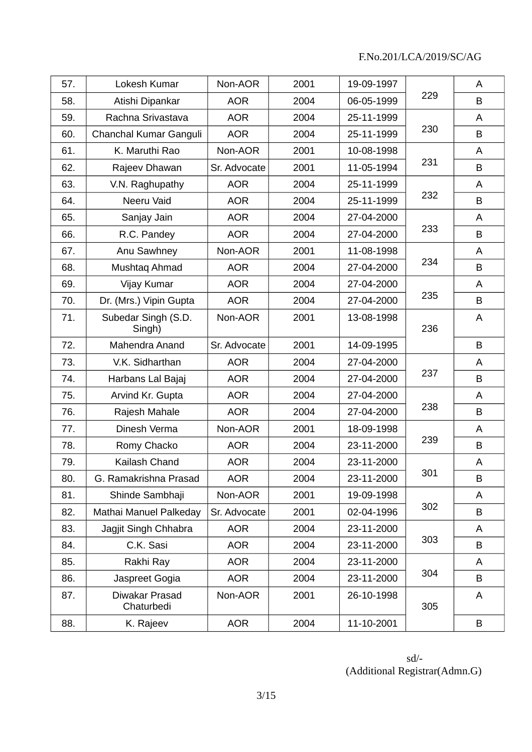| 57. | Lokesh Kumar                  | Non-AOR      | 2001 | 19-09-1997 |     | A |
|-----|-------------------------------|--------------|------|------------|-----|---|
| 58. | Atishi Dipankar               | <b>AOR</b>   | 2004 | 06-05-1999 | 229 | B |
| 59. | Rachna Srivastava             | <b>AOR</b>   | 2004 | 25-11-1999 |     | A |
| 60. | Chanchal Kumar Ganguli        | <b>AOR</b>   | 2004 | 25-11-1999 | 230 | B |
| 61. | K. Maruthi Rao                | Non-AOR      | 2001 | 10-08-1998 |     | A |
| 62. | Rajeev Dhawan                 | Sr. Advocate | 2001 | 11-05-1994 | 231 | B |
| 63. | V.N. Raghupathy               | <b>AOR</b>   | 2004 | 25-11-1999 |     | A |
| 64. | Neeru Vaid                    | <b>AOR</b>   | 2004 | 25-11-1999 | 232 | B |
| 65. | Sanjay Jain                   | <b>AOR</b>   | 2004 | 27-04-2000 |     | A |
| 66. | R.C. Pandey                   | <b>AOR</b>   | 2004 | 27-04-2000 | 233 | B |
| 67. | Anu Sawhney                   | Non-AOR      | 2001 | 11-08-1998 |     | A |
| 68. | Mushtaq Ahmad                 | <b>AOR</b>   | 2004 | 27-04-2000 | 234 | B |
| 69. | Vijay Kumar                   | <b>AOR</b>   | 2004 | 27-04-2000 |     | A |
| 70. | Dr. (Mrs.) Vipin Gupta        | <b>AOR</b>   | 2004 | 27-04-2000 | 235 | B |
| 71. | Subedar Singh (S.D.<br>Singh) | Non-AOR      | 2001 | 13-08-1998 | 236 | A |
| 72. | Mahendra Anand                | Sr. Advocate | 2001 | 14-09-1995 |     | B |
| 73. | V.K. Sidharthan               | <b>AOR</b>   | 2004 | 27-04-2000 |     | A |
| 74. | Harbans Lal Bajaj             | <b>AOR</b>   | 2004 | 27-04-2000 | 237 | B |
| 75. | Arvind Kr. Gupta              | <b>AOR</b>   | 2004 | 27-04-2000 |     | A |
| 76. | Rajesh Mahale                 | <b>AOR</b>   | 2004 | 27-04-2000 | 238 | B |
| 77. | Dinesh Verma                  | Non-AOR      | 2001 | 18-09-1998 |     | A |
| 78. | Romy Chacko                   | <b>AOR</b>   | 2004 | 23-11-2000 | 239 | B |
| 79. | Kailash Chand                 | <b>AOR</b>   | 2004 | 23-11-2000 |     | A |
| 80. | G. Ramakrishna Prasad         | <b>AOR</b>   | 2004 | 23-11-2000 | 301 | B |
| 81. | Shinde Sambhaji               | Non-AOR      | 2001 | 19-09-1998 |     | A |
| 82. | Mathai Manuel Palkeday        | Sr. Advocate | 2001 | 02-04-1996 | 302 | B |
| 83. | Jagjit Singh Chhabra          | <b>AOR</b>   | 2004 | 23-11-2000 |     | A |
| 84. | C.K. Sasi                     | <b>AOR</b>   | 2004 | 23-11-2000 | 303 | B |
| 85. | Rakhi Ray                     | <b>AOR</b>   | 2004 | 23-11-2000 |     | A |
| 86. | Jaspreet Gogia                | <b>AOR</b>   | 2004 | 23-11-2000 | 304 | B |
| 87. | Diwakar Prasad<br>Chaturbedi  | Non-AOR      | 2001 | 26-10-1998 | 305 | A |
| 88. | K. Rajeev                     | <b>AOR</b>   | 2004 | 11-10-2001 |     | B |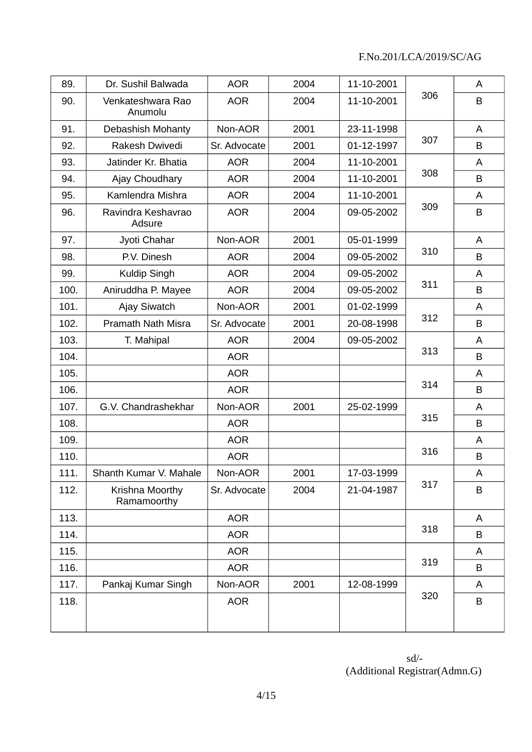| 89.  | Dr. Sushil Balwada             | <b>AOR</b>   | 2004 | 11-10-2001 |     | A |
|------|--------------------------------|--------------|------|------------|-----|---|
| 90.  | Venkateshwara Rao<br>Anumolu   | <b>AOR</b>   | 2004 | 11-10-2001 | 306 | B |
| 91.  | Debashish Mohanty              | Non-AOR      | 2001 | 23-11-1998 |     | A |
| 92.  | Rakesh Dwivedi                 | Sr. Advocate | 2001 | 01-12-1997 | 307 | B |
| 93.  | Jatinder Kr. Bhatia            | <b>AOR</b>   | 2004 | 11-10-2001 |     | A |
| 94.  | Ajay Choudhary                 | <b>AOR</b>   | 2004 | 11-10-2001 | 308 | B |
| 95.  | Kamlendra Mishra               | <b>AOR</b>   | 2004 | 11-10-2001 |     | A |
| 96.  | Ravindra Keshavrao<br>Adsure   | <b>AOR</b>   | 2004 | 09-05-2002 | 309 | B |
| 97.  | Jyoti Chahar                   | Non-AOR      | 2001 | 05-01-1999 |     | A |
| 98.  | P.V. Dinesh                    | <b>AOR</b>   | 2004 | 09-05-2002 | 310 | B |
| 99.  | Kuldip Singh                   | <b>AOR</b>   | 2004 | 09-05-2002 |     | A |
| 100. | Aniruddha P. Mayee             | <b>AOR</b>   | 2004 | 09-05-2002 | 311 | B |
| 101. | Ajay Siwatch                   | Non-AOR      | 2001 | 01-02-1999 |     | A |
| 102. | <b>Pramath Nath Misra</b>      | Sr. Advocate | 2001 | 20-08-1998 | 312 | B |
| 103. | T. Mahipal                     | <b>AOR</b>   | 2004 | 09-05-2002 |     | A |
| 104. |                                | <b>AOR</b>   |      |            | 313 | B |
| 105. |                                | <b>AOR</b>   |      |            |     | A |
| 106. |                                | <b>AOR</b>   |      |            | 314 | B |
| 107. | G.V. Chandrashekhar            | Non-AOR      | 2001 | 25-02-1999 |     | A |
| 108. |                                | <b>AOR</b>   |      |            | 315 | B |
| 109. |                                | <b>AOR</b>   |      |            |     | A |
| 110. |                                | <b>AOR</b>   |      |            | 316 | B |
| 111. | Shanth Kumar V. Mahale         | Non-AOR      | 2001 | 17-03-1999 |     | A |
| 112. | Krishna Moorthy<br>Ramamoorthy | Sr. Advocate | 2004 | 21-04-1987 | 317 | B |
| 113. |                                | <b>AOR</b>   |      |            |     | A |
| 114. |                                | <b>AOR</b>   |      |            | 318 | B |
| 115. |                                | <b>AOR</b>   |      |            |     | A |
| 116. |                                | <b>AOR</b>   |      |            | 319 | B |
| 117. | Pankaj Kumar Singh             | Non-AOR      | 2001 | 12-08-1999 |     | A |
| 118. |                                | <b>AOR</b>   |      |            | 320 | B |
|      |                                |              |      |            |     |   |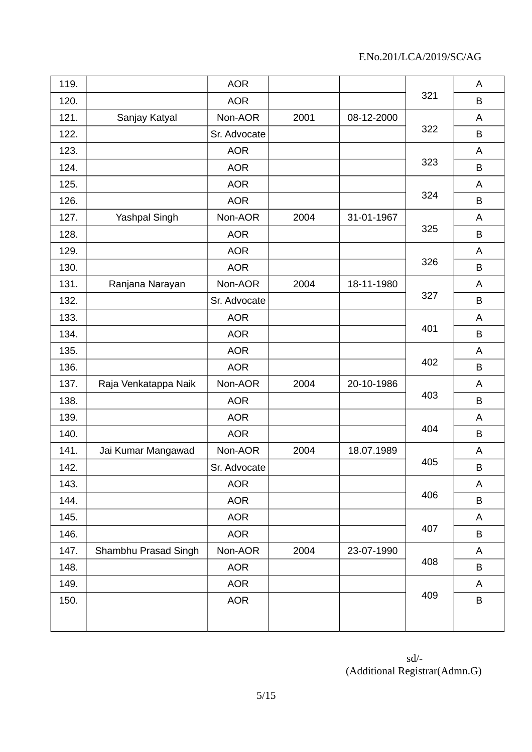| 119. |                      | <b>AOR</b>   |      |            |     | A       |
|------|----------------------|--------------|------|------------|-----|---------|
| 120. |                      | <b>AOR</b>   |      |            | 321 | B       |
| 121. | Sanjay Katyal        | Non-AOR      | 2001 | 08-12-2000 |     | A       |
| 122. |                      | Sr. Advocate |      |            | 322 | B       |
| 123. |                      | <b>AOR</b>   |      |            |     | A       |
| 124. |                      | <b>AOR</b>   |      |            | 323 | B       |
| 125. |                      | <b>AOR</b>   |      |            |     | A       |
| 126. |                      | <b>AOR</b>   |      |            | 324 | B       |
| 127. | Yashpal Singh        | Non-AOR      | 2004 | 31-01-1967 |     | A       |
| 128. |                      | <b>AOR</b>   |      |            | 325 | B       |
| 129. |                      | <b>AOR</b>   |      |            |     | A       |
| 130. |                      | <b>AOR</b>   |      |            | 326 | B       |
| 131. | Ranjana Narayan      | Non-AOR      | 2004 | 18-11-1980 |     | A       |
| 132. |                      | Sr. Advocate |      |            | 327 | B       |
| 133. |                      | <b>AOR</b>   |      |            |     | A       |
| 134. |                      | <b>AOR</b>   |      |            | 401 | B       |
| 135. |                      | <b>AOR</b>   |      |            |     | A       |
| 136. |                      | <b>AOR</b>   |      |            | 402 | B       |
| 137. | Raja Venkatappa Naik | Non-AOR      | 2004 | 20-10-1986 |     | A       |
| 138. |                      | <b>AOR</b>   |      |            | 403 | B       |
| 139. |                      | <b>AOR</b>   |      |            |     | A       |
| 140. |                      | <b>AOR</b>   |      |            | 404 | B       |
| 141. | Jai Kumar Mangawad   | Non-AOR      | 2004 | 18.07.1989 |     | A       |
| 142. |                      | Sr. Advocate |      |            | 405 | B       |
| 143. |                      | <b>AOR</b>   |      |            |     | A       |
| 144. |                      | <b>AOR</b>   |      |            | 406 | B       |
| 145. |                      | <b>AOR</b>   |      |            |     | A       |
| 146. |                      | AOR          |      |            | 407 | $\sf B$ |
| 147. | Shambhu Prasad Singh | Non-AOR      | 2004 | 23-07-1990 |     | A       |
| 148. |                      | <b>AOR</b>   |      |            | 408 | $\sf B$ |
| 149. |                      | <b>AOR</b>   |      |            |     | A       |
| 150. |                      | <b>AOR</b>   |      |            | 409 | $\sf B$ |
|      |                      |              |      |            |     |         |
|      |                      |              |      |            |     |         |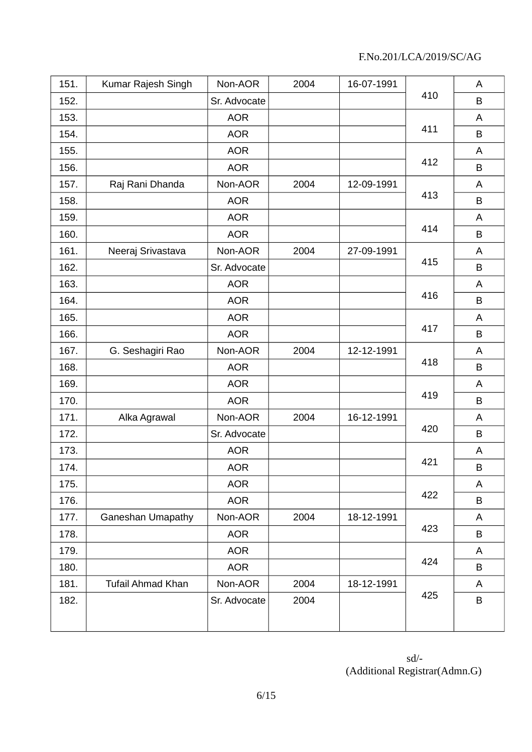| 151. | Kumar Rajesh Singh       | Non-AOR      | 2004 | 16-07-1991 |     | A |
|------|--------------------------|--------------|------|------------|-----|---|
| 152. |                          | Sr. Advocate |      |            | 410 | B |
| 153. |                          | <b>AOR</b>   |      |            |     | A |
| 154. |                          | <b>AOR</b>   |      |            | 411 | B |
| 155. |                          | <b>AOR</b>   |      |            |     | A |
| 156. |                          | <b>AOR</b>   |      |            | 412 | B |
| 157. | Raj Rani Dhanda          | Non-AOR      | 2004 | 12-09-1991 |     | A |
| 158. |                          | <b>AOR</b>   |      |            | 413 | B |
| 159. |                          | <b>AOR</b>   |      |            |     | A |
| 160. |                          | <b>AOR</b>   |      |            | 414 | B |
| 161. | Neeraj Srivastava        | Non-AOR      | 2004 | 27-09-1991 |     | A |
| 162. |                          | Sr. Advocate |      |            | 415 | B |
| 163. |                          | <b>AOR</b>   |      |            |     | A |
| 164. |                          | <b>AOR</b>   |      |            | 416 | B |
| 165. |                          | <b>AOR</b>   |      |            |     | A |
| 166. |                          | <b>AOR</b>   |      |            | 417 | B |
| 167. | G. Seshagiri Rao         | Non-AOR      | 2004 | 12-12-1991 |     | A |
| 168. |                          | <b>AOR</b>   |      |            | 418 | B |
| 169. |                          | <b>AOR</b>   |      |            |     | A |
| 170. |                          | <b>AOR</b>   |      |            | 419 | B |
| 171. | Alka Agrawal             | Non-AOR      | 2004 | 16-12-1991 |     | A |
| 172. |                          | Sr. Advocate |      |            | 420 | B |
| 173. |                          | <b>AOR</b>   |      |            |     | A |
| 174. |                          | <b>AOR</b>   |      |            | 421 | B |
| 175. |                          | <b>AOR</b>   |      |            |     | A |
| 176. |                          | <b>AOR</b>   |      |            | 422 | B |
| 177. | <b>Ganeshan Umapathy</b> | Non-AOR      | 2004 | 18-12-1991 |     | A |
| 178. |                          | <b>AOR</b>   |      |            | 423 | B |
| 179. |                          | <b>AOR</b>   |      |            |     | A |
| 180. |                          | <b>AOR</b>   |      |            | 424 | B |
| 181. | <b>Tufail Ahmad Khan</b> | Non-AOR      | 2004 | 18-12-1991 |     | A |
| 182. |                          | Sr. Advocate | 2004 |            | 425 | B |
|      |                          |              |      |            |     |   |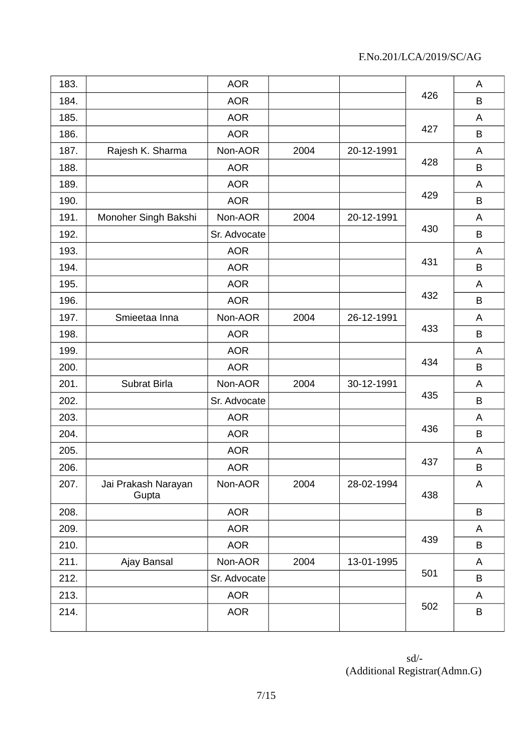| 183. |                              | <b>AOR</b>   |      |            |     | A |
|------|------------------------------|--------------|------|------------|-----|---|
| 184. |                              | <b>AOR</b>   |      |            | 426 | B |
| 185. |                              | <b>AOR</b>   |      |            |     | A |
| 186. |                              | <b>AOR</b>   |      |            | 427 | B |
| 187. | Rajesh K. Sharma             | Non-AOR      | 2004 | 20-12-1991 |     | A |
| 188. |                              | <b>AOR</b>   |      |            | 428 | B |
| 189. |                              | <b>AOR</b>   |      |            |     | A |
| 190. |                              | <b>AOR</b>   |      |            | 429 | B |
| 191. | Monoher Singh Bakshi         | Non-AOR      | 2004 | 20-12-1991 |     | A |
| 192. |                              | Sr. Advocate |      |            | 430 | B |
| 193. |                              | <b>AOR</b>   |      |            |     | A |
| 194. |                              | <b>AOR</b>   |      |            | 431 | B |
| 195. |                              | <b>AOR</b>   |      |            |     | A |
| 196. |                              | <b>AOR</b>   |      |            | 432 | B |
| 197. | Smieetaa Inna                | Non-AOR      | 2004 | 26-12-1991 |     | A |
| 198. |                              | <b>AOR</b>   |      |            | 433 | B |
| 199. |                              | <b>AOR</b>   |      |            |     | A |
| 200. |                              | <b>AOR</b>   |      |            | 434 | B |
| 201. | Subrat Birla                 | Non-AOR      | 2004 | 30-12-1991 |     | A |
| 202. |                              | Sr. Advocate |      |            | 435 | B |
| 203. |                              | <b>AOR</b>   |      |            |     | A |
| 204. |                              | <b>AOR</b>   |      |            | 436 | B |
| 205. |                              | <b>AOR</b>   |      |            |     | A |
| 206. |                              | <b>AOR</b>   |      |            | 437 | B |
| 207. | Jai Prakash Narayan<br>Gupta | Non-AOR      | 2004 | 28-02-1994 | 438 | A |
| 208. |                              | <b>AOR</b>   |      |            |     | B |
| 209. |                              | <b>AOR</b>   |      |            |     | A |
| 210. |                              | <b>AOR</b>   |      |            | 439 | B |
| 211. | Ajay Bansal                  | Non-AOR      | 2004 | 13-01-1995 |     | A |
| 212. |                              | Sr. Advocate |      |            | 501 | B |
| 213. |                              | <b>AOR</b>   |      |            |     | A |
| 214. |                              | <b>AOR</b>   |      |            | 502 | B |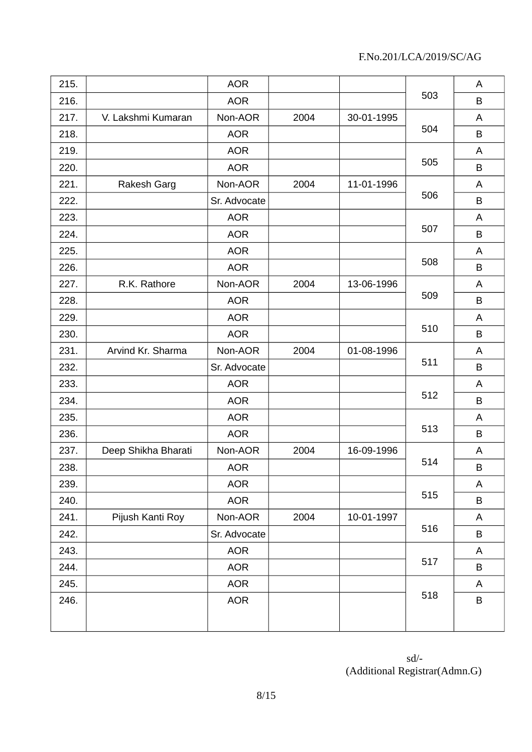| 215. |                     | <b>AOR</b>   |      |            |     | A       |
|------|---------------------|--------------|------|------------|-----|---------|
| 216. |                     | <b>AOR</b>   |      |            | 503 | B       |
| 217. | V. Lakshmi Kumaran  | Non-AOR      | 2004 | 30-01-1995 |     | A       |
| 218. |                     | <b>AOR</b>   |      |            | 504 | B       |
| 219. |                     | <b>AOR</b>   |      |            |     | A       |
| 220. |                     | <b>AOR</b>   |      |            | 505 | B       |
| 221. | Rakesh Garg         | Non-AOR      | 2004 | 11-01-1996 |     | A       |
| 222. |                     | Sr. Advocate |      |            | 506 | B       |
| 223. |                     | <b>AOR</b>   |      |            |     | A       |
| 224. |                     | <b>AOR</b>   |      |            | 507 | B       |
| 225. |                     | <b>AOR</b>   |      |            |     | A       |
| 226. |                     | <b>AOR</b>   |      |            | 508 | B       |
| 227. | R.K. Rathore        | Non-AOR      | 2004 | 13-06-1996 |     | A       |
| 228. |                     | <b>AOR</b>   |      |            | 509 | B       |
| 229. |                     | <b>AOR</b>   |      |            |     | A       |
| 230. |                     | <b>AOR</b>   |      |            | 510 | B       |
| 231. | Arvind Kr. Sharma   | Non-AOR      | 2004 | 01-08-1996 |     | A       |
| 232. |                     | Sr. Advocate |      |            | 511 | B       |
| 233. |                     | <b>AOR</b>   |      |            |     | A       |
| 234. |                     | <b>AOR</b>   |      |            | 512 | B       |
| 235. |                     | <b>AOR</b>   |      |            |     | A       |
| 236. |                     | <b>AOR</b>   |      |            | 513 | B       |
| 237. | Deep Shikha Bharati | Non-AOR      | 2004 | 16-09-1996 |     | A       |
| 238. |                     | <b>AOR</b>   |      |            | 514 | B       |
| 239. |                     | <b>AOR</b>   |      |            |     | A       |
| 240. |                     | <b>AOR</b>   |      |            | 515 | $\sf B$ |
| 241. | Pijush Kanti Roy    | Non-AOR      | 2004 | 10-01-1997 |     | A       |
| 242. |                     | Sr. Advocate |      |            | 516 | B       |
| 243. |                     | <b>AOR</b>   |      |            |     | A       |
| 244. |                     | <b>AOR</b>   |      |            | 517 | B       |
| 245. |                     | <b>AOR</b>   |      |            |     | A       |
| 246. |                     | <b>AOR</b>   |      |            | 518 | $\sf B$ |
|      |                     |              |      |            |     |         |
|      |                     |              |      |            |     |         |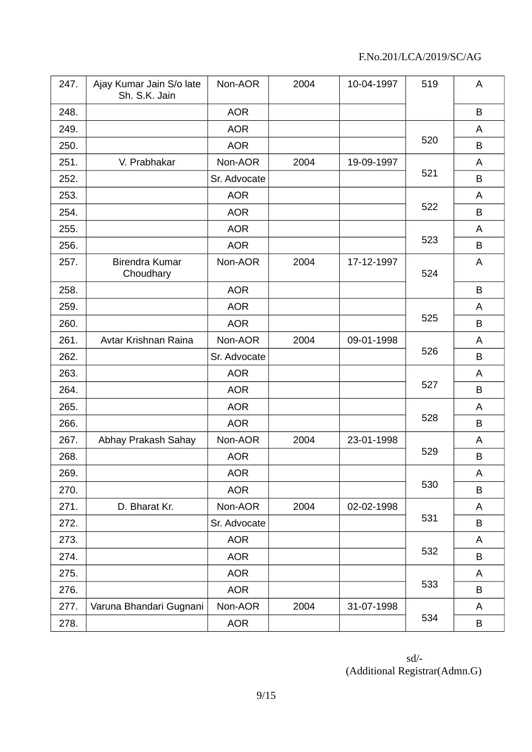| 247. | Ajay Kumar Jain S/o late<br>Sh. S.K. Jain | Non-AOR      | 2004 | 10-04-1997 | 519 | A |
|------|-------------------------------------------|--------------|------|------------|-----|---|
| 248. |                                           | <b>AOR</b>   |      |            |     | B |
| 249. |                                           | <b>AOR</b>   |      |            |     | A |
| 250. |                                           | <b>AOR</b>   |      |            | 520 | B |
| 251. | V. Prabhakar                              | Non-AOR      | 2004 | 19-09-1997 |     | A |
| 252. |                                           | Sr. Advocate |      |            | 521 | B |
| 253. |                                           | <b>AOR</b>   |      |            |     | A |
| 254. |                                           | <b>AOR</b>   |      |            | 522 | B |
| 255. |                                           | <b>AOR</b>   |      |            |     | A |
| 256. |                                           | <b>AOR</b>   |      |            | 523 | B |
| 257. | Birendra Kumar<br>Choudhary               | Non-AOR      | 2004 | 17-12-1997 | 524 | A |
| 258. |                                           | <b>AOR</b>   |      |            |     | B |
| 259. |                                           | <b>AOR</b>   |      |            |     | A |
| 260. |                                           | <b>AOR</b>   |      |            | 525 | B |
| 261. | Avtar Krishnan Raina                      | Non-AOR      | 2004 | 09-01-1998 |     | A |
| 262. |                                           | Sr. Advocate |      |            | 526 | B |
| 263. |                                           | <b>AOR</b>   |      |            |     | A |
| 264. |                                           | <b>AOR</b>   |      |            | 527 | B |
| 265. |                                           | <b>AOR</b>   |      |            |     | A |
| 266. |                                           | <b>AOR</b>   |      |            | 528 | B |
| 267. | Abhay Prakash Sahay                       | Non-AOR      | 2004 | 23-01-1998 |     | A |
| 268. |                                           | <b>AOR</b>   |      |            | 529 | B |
| 269. |                                           | <b>AOR</b>   |      |            |     | A |
| 270. |                                           | <b>AOR</b>   |      |            | 530 | B |
| 271. | D. Bharat Kr.                             | Non-AOR      | 2004 | 02-02-1998 |     | A |
| 272. |                                           | Sr. Advocate |      |            | 531 | B |
| 273. |                                           | <b>AOR</b>   |      |            |     | A |
| 274. |                                           | <b>AOR</b>   |      |            | 532 | B |
| 275. |                                           | <b>AOR</b>   |      |            |     | A |
| 276. |                                           | <b>AOR</b>   |      |            | 533 | B |
| 277. | Varuna Bhandari Gugnani                   | Non-AOR      | 2004 | 31-07-1998 |     | A |
| 278. |                                           | <b>AOR</b>   |      |            | 534 | B |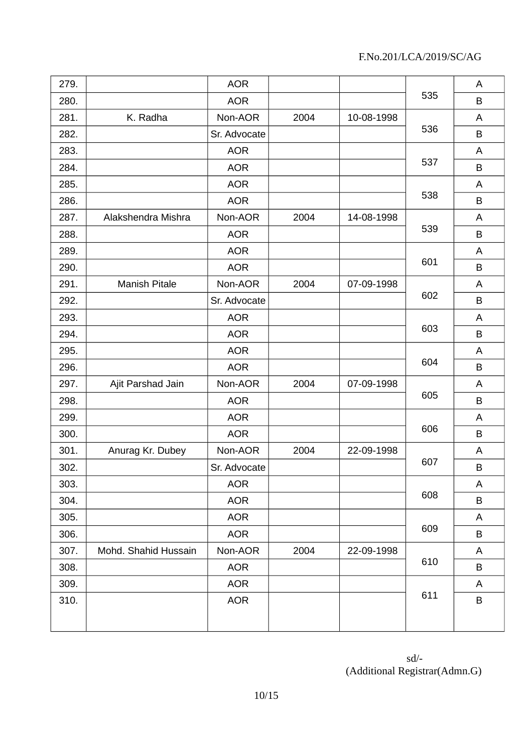| 279. |                      | <b>AOR</b>   |      |            |     | A       |
|------|----------------------|--------------|------|------------|-----|---------|
| 280. |                      | <b>AOR</b>   |      |            | 535 | B       |
| 281. | K. Radha             | Non-AOR      | 2004 | 10-08-1998 |     | A       |
| 282. |                      | Sr. Advocate |      |            | 536 | B       |
| 283. |                      | <b>AOR</b>   |      |            |     | A       |
| 284. |                      | <b>AOR</b>   |      |            | 537 | B       |
| 285. |                      | <b>AOR</b>   |      |            |     | A       |
| 286. |                      | <b>AOR</b>   |      |            | 538 | B       |
| 287. | Alakshendra Mishra   | Non-AOR      | 2004 | 14-08-1998 |     | A       |
| 288. |                      | <b>AOR</b>   |      |            | 539 | $\sf B$ |
| 289. |                      | <b>AOR</b>   |      |            |     | A       |
| 290. |                      | <b>AOR</b>   |      |            | 601 | B       |
| 291. | Manish Pitale        | Non-AOR      | 2004 | 07-09-1998 |     | A       |
| 292. |                      | Sr. Advocate |      |            | 602 | B       |
| 293. |                      | <b>AOR</b>   |      |            |     | A       |
| 294. |                      | <b>AOR</b>   |      |            | 603 | B       |
| 295. |                      | <b>AOR</b>   |      |            |     | A       |
| 296. |                      | <b>AOR</b>   |      |            | 604 | B       |
| 297. | Ajit Parshad Jain    | Non-AOR      | 2004 | 07-09-1998 |     | A       |
| 298. |                      | <b>AOR</b>   |      |            | 605 | B       |
| 299. |                      | <b>AOR</b>   |      |            |     | A       |
| 300. |                      | <b>AOR</b>   |      |            | 606 | B       |
| 301. | Anurag Kr. Dubey     | Non-AOR      | 2004 | 22-09-1998 |     | A       |
| 302. |                      | Sr. Advocate |      |            | 607 | B       |
| 303. |                      | <b>AOR</b>   |      |            |     | A       |
| 304. |                      | <b>AOR</b>   |      |            | 608 | B       |
| 305. |                      | <b>AOR</b>   |      |            |     | A       |
| 306. |                      | <b>AOR</b>   |      |            | 609 | $\sf B$ |
| 307. | Mohd. Shahid Hussain | Non-AOR      | 2004 | 22-09-1998 |     | A       |
| 308. |                      | <b>AOR</b>   |      |            | 610 | B       |
| 309. |                      | <b>AOR</b>   |      |            |     | A       |
| 310. |                      | <b>AOR</b>   |      |            | 611 | $\sf B$ |
|      |                      |              |      |            |     |         |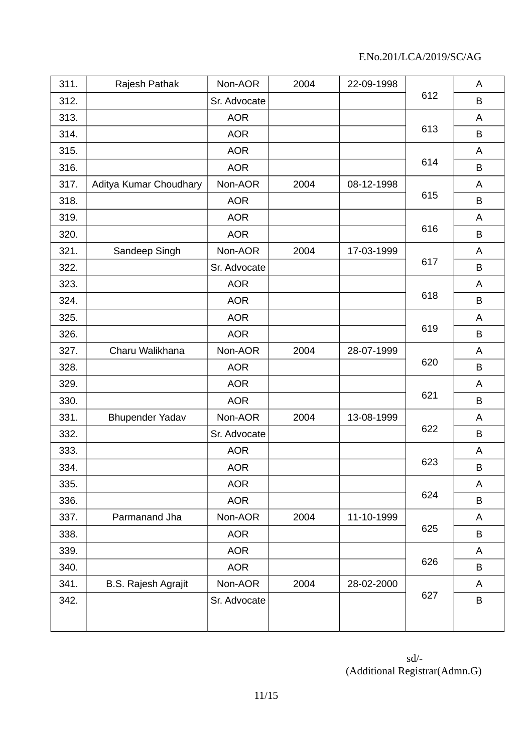| 311. | Rajesh Pathak              | Non-AOR      | 2004 | 22-09-1998 |     | A       |
|------|----------------------------|--------------|------|------------|-----|---------|
| 312. |                            | Sr. Advocate |      |            | 612 | B       |
| 313. |                            | <b>AOR</b>   |      |            |     | A       |
| 314. |                            | <b>AOR</b>   |      |            | 613 | B       |
| 315. |                            | <b>AOR</b>   |      |            |     | A       |
| 316. |                            | <b>AOR</b>   |      |            | 614 | B       |
| 317. | Aditya Kumar Choudhary     | Non-AOR      | 2004 | 08-12-1998 |     | A       |
| 318. |                            | <b>AOR</b>   |      |            | 615 | B       |
| 319. |                            | <b>AOR</b>   |      |            |     | A       |
| 320. |                            | <b>AOR</b>   |      |            | 616 | B       |
| 321. | Sandeep Singh              | Non-AOR      | 2004 | 17-03-1999 |     | A       |
| 322. |                            | Sr. Advocate |      |            | 617 | $\sf B$ |
| 323. |                            | <b>AOR</b>   |      |            |     | A       |
| 324. |                            | <b>AOR</b>   |      |            | 618 | B       |
| 325. |                            | <b>AOR</b>   |      |            |     | A       |
| 326. |                            | <b>AOR</b>   |      |            | 619 | B       |
| 327. | Charu Walikhana            | Non-AOR      | 2004 | 28-07-1999 |     | A       |
| 328. |                            | <b>AOR</b>   |      |            | 620 | B       |
| 329. |                            | <b>AOR</b>   |      |            |     | A       |
| 330. |                            | <b>AOR</b>   |      |            | 621 | B       |
| 331. | <b>Bhupender Yadav</b>     | Non-AOR      | 2004 | 13-08-1999 |     | A       |
| 332. |                            | Sr. Advocate |      |            | 622 | B       |
| 333. |                            | <b>AOR</b>   |      |            |     | A       |
| 334. |                            | <b>AOR</b>   |      |            | 623 | $\sf B$ |
| 335. |                            | <b>AOR</b>   |      |            |     | A       |
| 336. |                            | <b>AOR</b>   |      |            | 624 | B       |
| 337. | Parmanand Jha              | Non-AOR      | 2004 | 11-10-1999 |     | A       |
| 338. |                            | <b>AOR</b>   |      |            | 625 | B       |
| 339. |                            | <b>AOR</b>   |      |            |     | A       |
| 340. |                            | <b>AOR</b>   |      |            | 626 | B       |
| 341. | <b>B.S. Rajesh Agrajit</b> | Non-AOR      | 2004 | 28-02-2000 |     | A       |
| 342. |                            | Sr. Advocate |      |            | 627 | B       |
|      |                            |              |      |            |     |         |
|      |                            |              |      |            |     |         |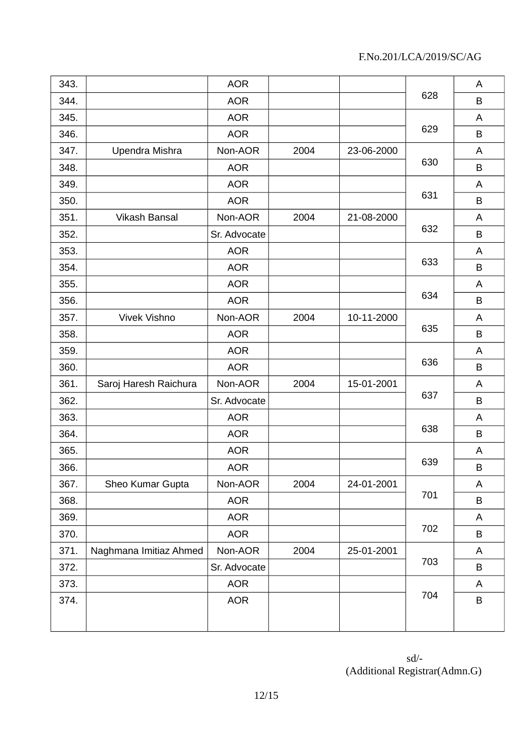| 343. |                        | <b>AOR</b>   |      |            |     | A       |
|------|------------------------|--------------|------|------------|-----|---------|
| 344. |                        | <b>AOR</b>   |      |            | 628 | B       |
| 345. |                        | <b>AOR</b>   |      |            |     | A       |
| 346. |                        | <b>AOR</b>   |      |            | 629 | B       |
| 347. | Upendra Mishra         | Non-AOR      | 2004 | 23-06-2000 |     | A       |
| 348. |                        | <b>AOR</b>   |      |            | 630 | B       |
| 349. |                        | <b>AOR</b>   |      |            |     | A       |
| 350. |                        | <b>AOR</b>   |      |            | 631 | B       |
| 351. | <b>Vikash Bansal</b>   | Non-AOR      | 2004 | 21-08-2000 |     | A       |
| 352. |                        | Sr. Advocate |      |            | 632 | $\sf B$ |
| 353. |                        | <b>AOR</b>   |      |            |     | A       |
| 354. |                        | <b>AOR</b>   |      |            | 633 | B       |
| 355. |                        | <b>AOR</b>   |      |            |     | A       |
| 356. |                        | <b>AOR</b>   |      |            | 634 | B       |
| 357. | Vivek Vishno           | Non-AOR      | 2004 | 10-11-2000 | 635 | A       |
| 358. |                        | <b>AOR</b>   |      |            |     | B       |
| 359. |                        | <b>AOR</b>   |      |            |     | A       |
| 360. |                        | <b>AOR</b>   |      |            | 636 | B       |
| 361. | Saroj Haresh Raichura  | Non-AOR      | 2004 | 15-01-2001 |     | A       |
| 362. |                        | Sr. Advocate |      |            | 637 | B       |
| 363. |                        | <b>AOR</b>   |      |            |     | A       |
| 364. |                        | <b>AOR</b>   |      |            | 638 | B       |
| 365. |                        | <b>AOR</b>   |      |            |     | A       |
| 366. |                        | <b>AOR</b>   |      |            | 639 | B       |
| 367. | Sheo Kumar Gupta       | Non-AOR      | 2004 | 24-01-2001 |     | Α       |
| 368. |                        | <b>AOR</b>   |      |            | 701 | B       |
| 369. |                        | <b>AOR</b>   |      |            |     | A       |
| 370. |                        | <b>AOR</b>   |      |            | 702 | $\sf B$ |
| 371. | Naghmana Imitiaz Ahmed | Non-AOR      | 2004 | 25-01-2001 |     | A       |
| 372. |                        | Sr. Advocate |      |            | 703 | B       |
| 373. |                        | <b>AOR</b>   |      |            |     | A       |
| 374. |                        | <b>AOR</b>   |      |            | 704 | $\sf B$ |
|      |                        |              |      |            |     |         |
|      |                        |              |      |            |     |         |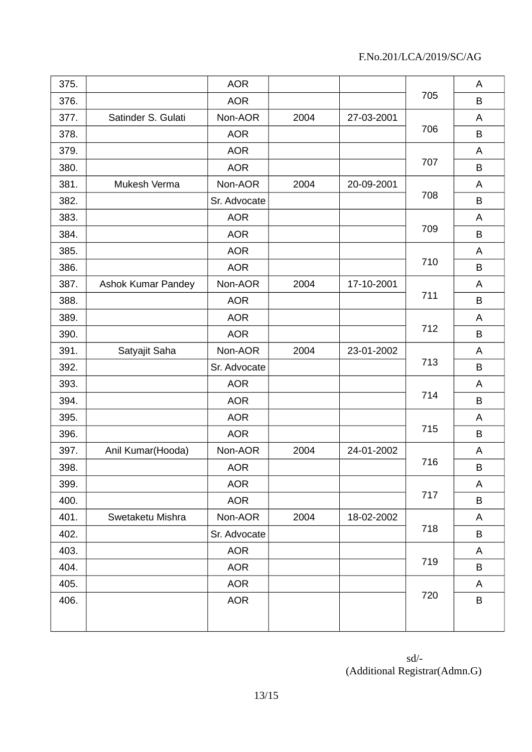| 375. |                           | <b>AOR</b>   |      |            | 705 | A       |
|------|---------------------------|--------------|------|------------|-----|---------|
| 376. |                           | <b>AOR</b>   |      |            |     | B       |
| 377. | Satinder S. Gulati        | Non-AOR      | 2004 | 27-03-2001 | 706 | A       |
| 378. |                           | <b>AOR</b>   |      |            |     | B       |
| 379. |                           | <b>AOR</b>   |      |            | 707 | A       |
| 380. |                           | <b>AOR</b>   |      |            |     | B       |
| 381. | Mukesh Verma              | Non-AOR      | 2004 | 20-09-2001 | 708 | A       |
| 382. |                           | Sr. Advocate |      |            |     | B       |
| 383. |                           | <b>AOR</b>   |      |            |     | A       |
| 384. |                           | <b>AOR</b>   |      |            | 709 | B       |
| 385. |                           | <b>AOR</b>   |      |            |     | A       |
| 386. |                           | <b>AOR</b>   |      |            | 710 | B       |
| 387. | <b>Ashok Kumar Pandey</b> | Non-AOR      | 2004 | 17-10-2001 |     | A       |
| 388. |                           | <b>AOR</b>   |      |            | 711 | B       |
| 389. |                           | <b>AOR</b>   |      |            |     | A       |
| 390. |                           | <b>AOR</b>   |      |            | 712 | B       |
| 391. | Satyajit Saha             | Non-AOR      | 2004 | 23-01-2002 |     | A       |
| 392. |                           | Sr. Advocate |      |            | 713 | B       |
| 393. |                           | <b>AOR</b>   |      |            | 714 | A       |
| 394. |                           | <b>AOR</b>   |      |            |     | B       |
| 395. |                           | <b>AOR</b>   |      |            | 715 | A       |
| 396. |                           | <b>AOR</b>   |      |            |     | B       |
| 397. | Anil Kumar(Hooda)         | Non-AOR      | 2004 | 24-01-2002 |     | A       |
| 398. |                           | <b>AOR</b>   |      |            | 716 | B       |
| 399. |                           | <b>AOR</b>   |      |            | 717 | A       |
| 400. |                           | <b>AOR</b>   |      |            |     | B       |
| 401. | Swetaketu Mishra          | Non-AOR      | 2004 | 18-02-2002 | 718 | A       |
| 402. |                           | Sr. Advocate |      |            |     | B       |
| 403. |                           | <b>AOR</b>   |      |            | 719 | A       |
| 404. |                           | <b>AOR</b>   |      |            |     | B       |
| 405. |                           | <b>AOR</b>   |      |            | 720 | A       |
| 406. |                           | <b>AOR</b>   |      |            |     | $\sf B$ |
|      |                           |              |      |            |     |         |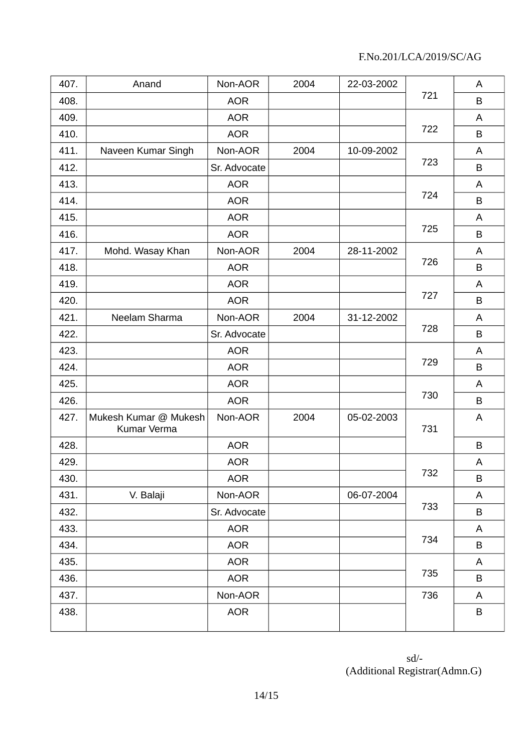| 407. | Anand                                | Non-AOR      | 2004 | 22-03-2002 | 721 | A       |
|------|--------------------------------------|--------------|------|------------|-----|---------|
| 408. |                                      | <b>AOR</b>   |      |            |     | B       |
| 409. |                                      | <b>AOR</b>   |      |            | 722 | A       |
| 410. |                                      | <b>AOR</b>   |      |            |     | B       |
| 411. | Naveen Kumar Singh                   | Non-AOR      | 2004 | 10-09-2002 | 723 | A       |
| 412. |                                      | Sr. Advocate |      |            |     | B       |
| 413. |                                      | <b>AOR</b>   |      |            | 724 | A       |
| 414. |                                      | <b>AOR</b>   |      |            |     | $\sf B$ |
| 415. |                                      | <b>AOR</b>   |      |            |     | A       |
| 416. |                                      | <b>AOR</b>   |      |            | 725 | B       |
| 417. | Mohd. Wasay Khan                     | Non-AOR      | 2004 | 28-11-2002 |     | A       |
| 418. |                                      | <b>AOR</b>   |      |            | 726 | B       |
| 419. |                                      | <b>AOR</b>   |      |            |     | A       |
| 420. |                                      | <b>AOR</b>   |      |            | 727 | B       |
| 421. | Neelam Sharma                        | Non-AOR      | 2004 | 31-12-2002 |     | A       |
| 422. |                                      | Sr. Advocate |      |            | 728 | B       |
| 423. |                                      | <b>AOR</b>   |      |            | 729 | A       |
| 424. |                                      | <b>AOR</b>   |      |            |     | B       |
| 425. |                                      | <b>AOR</b>   |      |            |     | A       |
| 426. |                                      | <b>AOR</b>   |      |            | 730 | B       |
| 427. | Mukesh Kumar @ Mukesh<br>Kumar Verma | Non-AOR      | 2004 | 05-02-2003 | 731 | A       |
| 428. |                                      | <b>AOR</b>   |      |            |     | B       |
| 429. |                                      | <b>AOR</b>   |      |            | 732 | A       |
| 430. |                                      | <b>AOR</b>   |      |            |     | B       |
| 431. | V. Balaji                            | Non-AOR      |      | 06-07-2004 | 733 | A       |
| 432. |                                      | Sr. Advocate |      |            |     | B       |
| 433. |                                      | <b>AOR</b>   |      |            | 734 | A       |
| 434. |                                      | <b>AOR</b>   |      |            |     | B       |
| 435. |                                      | <b>AOR</b>   |      |            |     | A       |
| 436. |                                      | <b>AOR</b>   |      |            | 735 | B       |
| 437. |                                      | Non-AOR      |      |            | 736 | A       |
| 438. |                                      | <b>AOR</b>   |      |            |     | B       |